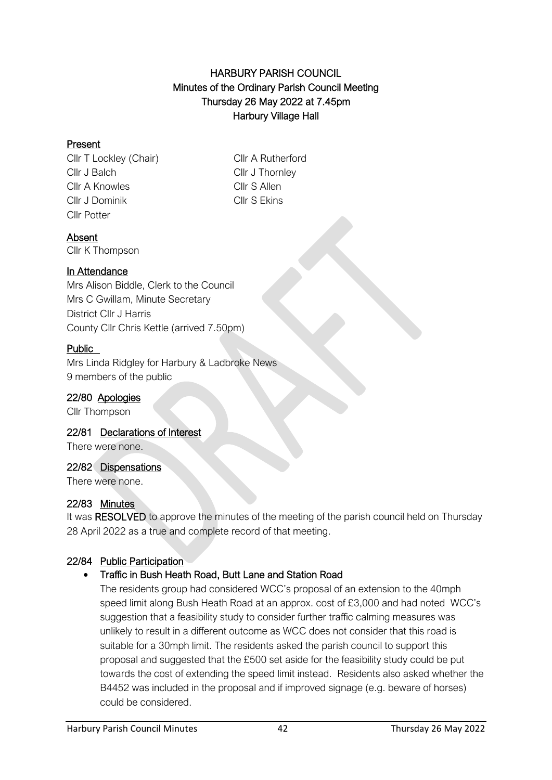### HARBURY PARISH COUNCIL Minutes of the Ordinary Parish Council Meeting Thursday 26 May 2022 at 7.45pm Harbury Village Hall

### Present

Cllr T Lockley (Chair) Cllr A Rutherford Cllr J Balch Cllr J Thornley Cllr A Knowles Cllr S Allen Cllr J Dominik Cllr S Ekins Cllr Potter

#### Absent

Cllr K Thompson

### In Attendance

Mrs Alison Biddle, Clerk to the Council Mrs C Gwillam, Minute Secretary District Cllr J Harris County Cllr Chris Kettle (arrived 7.50pm)

### Public

Mrs Linda Ridgley for Harbury & Ladbroke News 9 members of the public

#### 22/80 Apologies

Cllr Thompson

#### 22/81 Declarations of Interest

There were none.

#### 22/82 Dispensations

There were none.

# 22/83 Minutes

It was RESOLVED to approve the minutes of the meeting of the parish council held on Thursday 28 April 2022 as a true and complete record of that meeting.

# 22/84 Public Participation

# • Traffic in Bush Heath Road, Butt Lane and Station Road

The residents group had considered WCC's proposal of an extension to the 40mph speed limit along Bush Heath Road at an approx. cost of £3,000 and had noted WCC's suggestion that a feasibility study to consider further traffic calming measures was unlikely to result in a different outcome as WCC does not consider that this road is suitable for a 30mph limit. The residents asked the parish council to support this proposal and suggested that the £500 set aside for the feasibility study could be put towards the cost of extending the speed limit instead. Residents also asked whether the B4452 was included in the proposal and if improved signage (e.g. beware of horses) could be considered.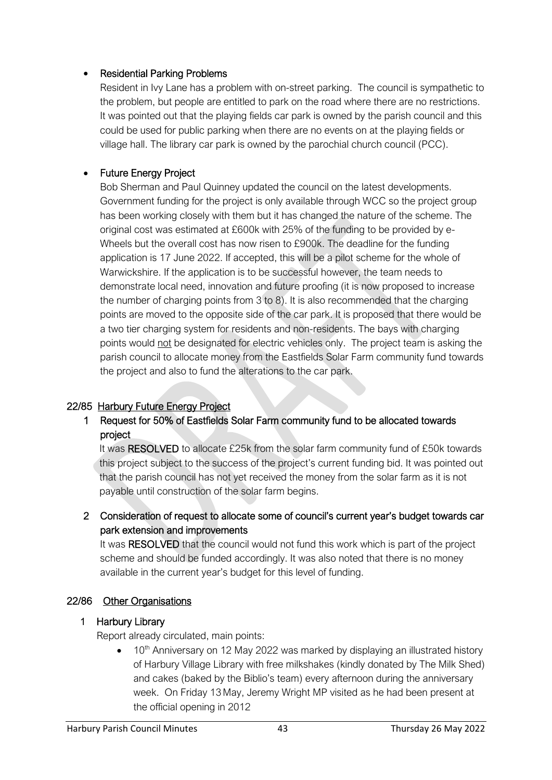#### • Residential Parking Problems

Resident in Ivy Lane has a problem with on-street parking. The council is sympathetic to the problem, but people are entitled to park on the road where there are no restrictions. It was pointed out that the playing fields car park is owned by the parish council and this could be used for public parking when there are no events on at the playing fields or village hall. The library car park is owned by the parochial church council (PCC).

# • Future Energy Project

Bob Sherman and Paul Quinney updated the council on the latest developments. Government funding for the project is only available through WCC so the project group has been working closely with them but it has changed the nature of the scheme. The original cost was estimated at £600k with 25% of the funding to be provided by e-Wheels but the overall cost has now risen to £900k. The deadline for the funding application is 17 June 2022. If accepted, this will be a pilot scheme for the whole of Warwickshire. If the application is to be successful however, the team needs to demonstrate local need, innovation and future proofing (it is now proposed to increase the number of charging points from 3 to 8). It is also recommended that the charging points are moved to the opposite side of the car park. It is proposed that there would be a two tier charging system for residents and non-residents. The bays with charging points would not be designated for electric vehicles only. The project team is asking the parish council to allocate money from the Eastfields Solar Farm community fund towards the project and also to fund the alterations to the car park.

# 22/85 Harbury Future Energy Project

# 1 Request for 50% of Eastfields Solar Farm community fund to be allocated towards project

It was RESOLVED to allocate £25k from the solar farm community fund of £50k towards this project subject to the success of the project's current funding bid. It was pointed out that the parish council has not yet received the money from the solar farm as it is not payable until construction of the solar farm begins.

# 2 Consideration of request to allocate some of council's current year's budget towards car park extension and improvements

It was RESOLVED that the council would not fund this work which is part of the project scheme and should be funded accordingly. It was also noted that there is no money available in the current year's budget for this level of funding.

# 22/86 Other Organisations

# 1 Harbury Library

Report already circulated, main points:

 $10<sup>th</sup>$  Anniversary on 12 May 2022 was marked by displaying an illustrated history of Harbury Village Library with free milkshakes (kindly donated by The Milk Shed) and cakes (baked by the Biblio's team) every afternoon during the anniversary week. On Friday 13 May, Jeremy Wright MP visited as he had been present at the official opening in 2012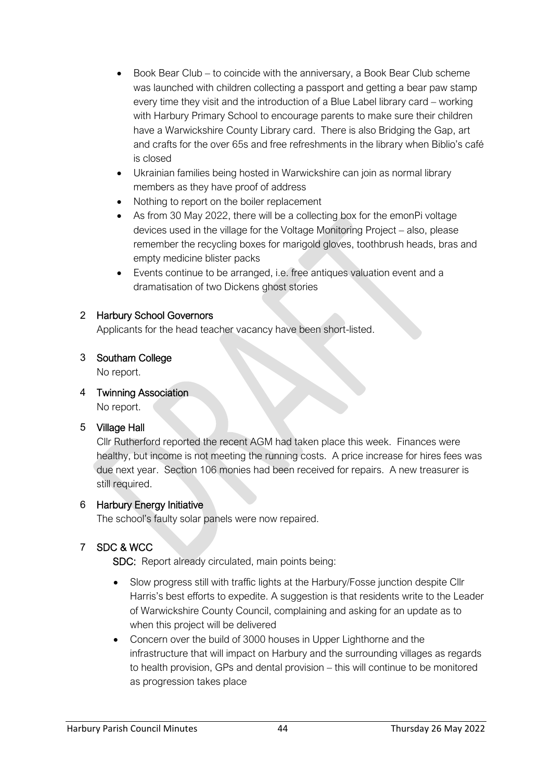- Book Bear Club to coincide with the anniversary, a Book Bear Club scheme was launched with children collecting a passport and getting a bear paw stamp every time they visit and the introduction of a Blue Label library card – working with Harbury Primary School to encourage parents to make sure their children have a Warwickshire County Library card. There is also Bridging the Gap, art and crafts for the over 65s and free refreshments in the library when Biblio's café is closed
- Ukrainian families being hosted in Warwickshire can join as normal library members as they have proof of address
- Nothing to report on the boiler replacement
- As from 30 May 2022, there will be a collecting box for the emonPi voltage devices used in the village for the Voltage Monitoring Project – also, please remember the recycling boxes for marigold gloves, toothbrush heads, bras and empty medicine blister packs
- Events continue to be arranged, i.e. free antiques valuation event and a dramatisation of two Dickens ghost stories

### 2 Harbury School Governors

Applicants for the head teacher vacancy have been short-listed.

### 3 Southam College

No report.

4 Twinning Association

No report.

# 5 Village Hall

Cllr Rutherford reported the recent AGM had taken place this week. Finances were healthy, but income is not meeting the running costs. A price increase for hires fees was due next year. Section 106 monies had been received for repairs. A new treasurer is still required.

# 6 Harbury Energy Initiative

The school's faulty solar panels were now repaired.

# 7 SDC & WCC

SDC: Report already circulated, main points being:

- Slow progress still with traffic lights at the Harbury/Fosse junction despite Cllr Harris's best efforts to expedite. A suggestion is that residents write to the Leader of Warwickshire County Council, complaining and asking for an update as to when this project will be delivered
- Concern over the build of 3000 houses in Upper Lighthorne and the infrastructure that will impact on Harbury and the surrounding villages as regards to health provision, GPs and dental provision – this will continue to be monitored as progression takes place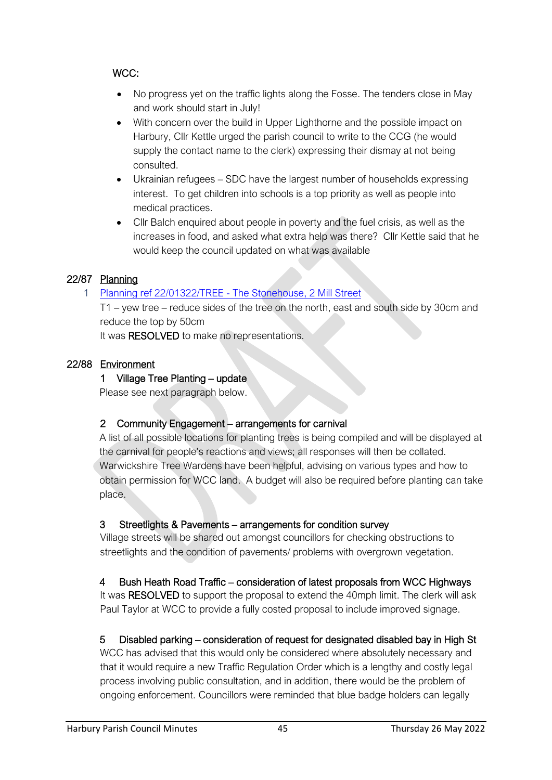# WCC:

- No progress yet on the traffic lights along the Fosse. The tenders close in May and work should start in July!
- With concern over the build in Upper Lighthorne and the possible impact on Harbury, Cllr Kettle urged the parish council to write to the CCG (he would supply the contact name to the clerk) expressing their dismay at not being consulted.
- Ukrainian refugees SDC have the largest number of households expressing interest. To get children into schools is a top priority as well as people into medical practices.
- Cllr Balch enquired about people in poverty and the fuel crisis, as well as the increases in food, and asked what extra help was there? Cllr Kettle said that he would keep the council updated on what was available

# 22/87 Planning

### 1 [Planning ref 22/01322/TREE -](http://apps.stratford.gov.uk/eplanning/AppDetail.aspx?appkey=RBAOU8PMLMJ00) The Stonehouse, 2 Mill Street

T1 – yew tree – reduce sides of the tree on the north, east and south side by 30cm and reduce the top by 50cm

It was RESOLVED to make no representations.

### 22/88 Environment

### 1 Village Tree Planting – update

Please see next paragraph below.

#### 2 Community Engagement – arrangements for carnival

A list of all possible locations for planting trees is being compiled and will be displayed at the carnival for people's reactions and views; all responses will then be collated. Warwickshire Tree Wardens have been helpful, advising on various types and how to obtain permission for WCC land. A budget will also be required before planting can take place.

#### 3 Streetlights & Pavements – arrangements for condition survey

Village streets will be shared out amongst councillors for checking obstructions to streetlights and the condition of pavements/ problems with overgrown vegetation.

#### 4 Bush Heath Road Traffic – consideration of latest proposals from WCC Highways

It was RESOLVED to support the proposal to extend the 40mph limit. The clerk will ask Paul Taylor at WCC to provide a fully costed proposal to include improved signage.

# 5 Disabled parking – consideration of request for designated disabled bay in High St

WCC has advised that this would only be considered where absolutely necessary and that it would require a new Traffic Regulation Order which is a lengthy and costly legal process involving public consultation, and in addition, there would be the problem of ongoing enforcement. Councillors were reminded that blue badge holders can legally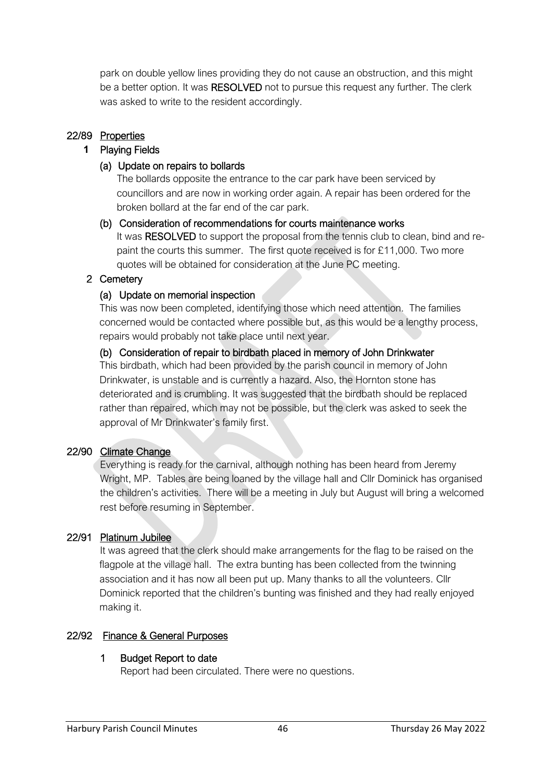park on double yellow lines providing they do not cause an obstruction, and this might be a better option. It was RESOLVED not to pursue this request any further. The clerk was asked to write to the resident accordingly.

### 22/89 Properties

#### **1** Playing Fields

#### (a) Update on repairs to bollards

The bollards opposite the entrance to the car park have been serviced by councillors and are now in working order again. A repair has been ordered for the broken bollard at the far end of the car park.

#### (b) Consideration of recommendations for courts maintenance works

It was RESOLVED to support the proposal from the tennis club to clean, bind and repaint the courts this summer. The first quote received is for £11,000. Two more quotes will be obtained for consideration at the June PC meeting.

### 2 Cemetery

### (a) Update on memorial inspection

This was now been completed, identifying those which need attention. The families concerned would be contacted where possible but, as this would be a lengthy process, repairs would probably not take place until next year.

# (b) Consideration of repair to birdbath placed in memory of John Drinkwater

This birdbath, which had been provided by the parish council in memory of John Drinkwater, is unstable and is currently a hazard. Also, the Hornton stone has deteriorated and is crumbling. It was suggested that the birdbath should be replaced rather than repaired, which may not be possible, but the clerk was asked to seek the approval of Mr Drinkwater's family first.

#### 22/90 Climate Change

Everything is ready for the carnival, although nothing has been heard from Jeremy Wright, MP. Tables are being loaned by the village hall and Cllr Dominick has organised the children's activities. There will be a meeting in July but August will bring a welcomed rest before resuming in September.

#### 22/91 Platinum Jubilee

 It was agreed that the clerk should make arrangements for the flag to be raised on the flagpole at the village hall. The extra bunting has been collected from the twinning association and it has now all been put up. Many thanks to all the volunteers. Cllr Dominick reported that the children's bunting was finished and they had really enjoyed making it.

# 22/92 Finance & General Purposes

# 1 Budget Report to date

Report had been circulated. There were no questions.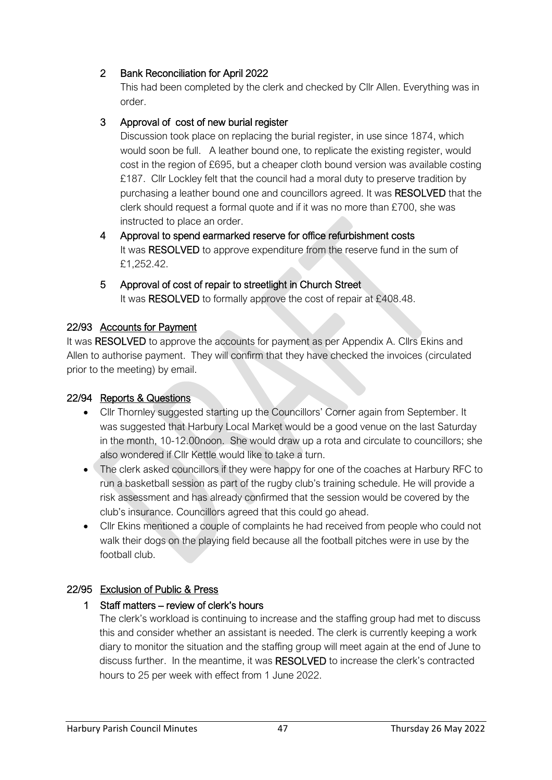# 2 Bank Reconciliation for April 2022

This had been completed by the clerk and checked by Cllr Allen. Everything was in order.

### 3 Approval of cost of new burial register

Discussion took place on replacing the burial register, in use since 1874, which would soon be full. A leather bound one, to replicate the existing register, would cost in the region of £695, but a cheaper cloth bound version was available costing £187. Cllr Lockley felt that the council had a moral duty to preserve tradition by purchasing a leather bound one and councillors agreed. It was RESOLVED that the clerk should request a formal quote and if it was no more than £700, she was instructed to place an order.

- 4 Approval to spend earmarked reserve for office refurbishment costs It was RESOLVED to approve expenditure from the reserve fund in the sum of £1,252.42.
- 5 Approval of cost of repair to streetlight in Church Street It was RESOLVED to formally approve the cost of repair at £408.48.

#### 22/93 Accounts for Payment

It was RESOLVED to approve the accounts for payment as per Appendix A. Cllrs Ekins and Allen to authorise payment. They will confirm that they have checked the invoices (circulated prior to the meeting) by email.

#### 22/94 Reports & Questions

- Cllr Thornley suggested starting up the Councillors' Corner again from September. It was suggested that Harbury Local Market would be a good venue on the last Saturday in the month, 10-12.00noon. She would draw up a rota and circulate to councillors; she also wondered if Cllr Kettle would like to take a turn.
- The clerk asked councillors if they were happy for one of the coaches at Harbury RFC to run a basketball session as part of the rugby club's training schedule. He will provide a risk assessment and has already confirmed that the session would be covered by the club's insurance. Councillors agreed that this could go ahead.
- Cllr Ekins mentioned a couple of complaints he had received from people who could not walk their dogs on the playing field because all the football pitches were in use by the football club.

# 22/95 Exclusion of Public & Press

#### 1 Staff matters – review of clerk's hours

The clerk's workload is continuing to increase and the staffing group had met to discuss this and consider whether an assistant is needed. The clerk is currently keeping a work diary to monitor the situation and the staffing group will meet again at the end of June to discuss further. In the meantime, it was RESOLVED to increase the clerk's contracted hours to 25 per week with effect from 1 June 2022.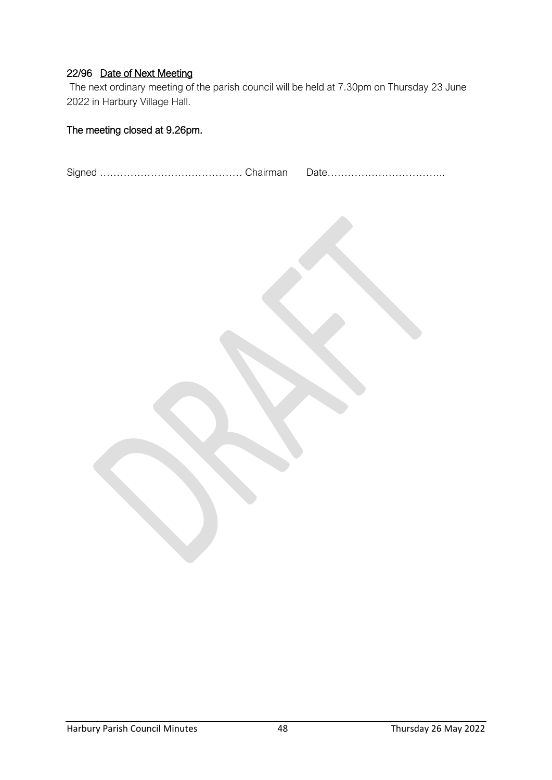#### 22/96 Date of Next Meeting

The next ordinary meeting of the parish council will be held at 7.30pm on Thursday 23 June 2022 in Harbury Village Hall.

### The meeting closed at 9.26pm.

Signed …………………………………… Chairman Date……………………………..